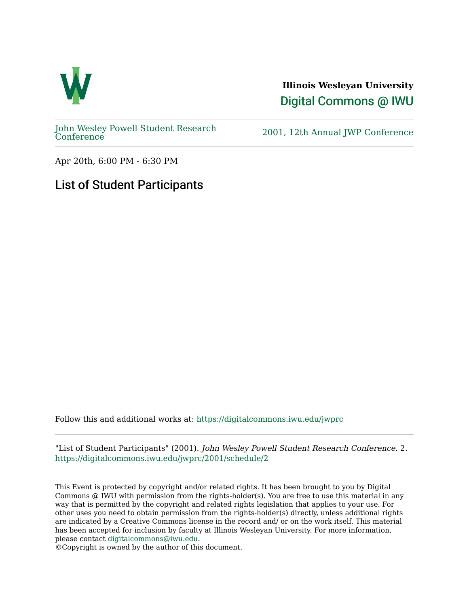

**Illinois Wesleyan University**  [Digital Commons @ IWU](https://digitalcommons.iwu.edu/) 

[John Wesley Powell Student Research](https://digitalcommons.iwu.edu/jwprc) 

2001, 12th Annual JWP [Conference](https://digitalcommons.iwu.edu/jwprc)

Apr 20th, 6:00 PM - 6:30 PM

## List of Student Participants

Follow this and additional works at: [https://digitalcommons.iwu.edu/jwprc](https://digitalcommons.iwu.edu/jwprc?utm_source=digitalcommons.iwu.edu%2Fjwprc%2F2001%2Fschedule%2F2&utm_medium=PDF&utm_campaign=PDFCoverPages) 

"List of Student Participants" (2001). John Wesley Powell Student Research Conference. 2. [https://digitalcommons.iwu.edu/jwprc/2001/schedule/2](https://digitalcommons.iwu.edu/jwprc/2001/schedule/2?utm_source=digitalcommons.iwu.edu%2Fjwprc%2F2001%2Fschedule%2F2&utm_medium=PDF&utm_campaign=PDFCoverPages) 

This Event is protected by copyright and/or related rights. It has been brought to you by Digital Commons @ IWU with permission from the rights-holder(s). You are free to use this material in any way that is permitted by the copyright and related rights legislation that applies to your use. For other uses you need to obtain permission from the rights-holder(s) directly, unless additional rights are indicated by a Creative Commons license in the record and/ or on the work itself. This material has been accepted for inclusion by faculty at Illinois Wesleyan University. For more information, please contact [digitalcommons@iwu.edu.](mailto:digitalcommons@iwu.edu)

©Copyright is owned by the author of this document.